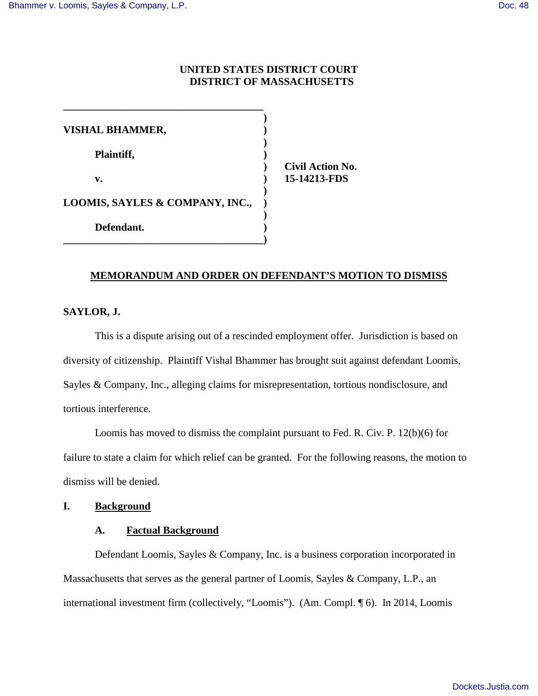### **UNITED STATES DISTRICT COURT DISTRICT OF MASSACHUSETTS**

| <b>VISHAL BHAMMER,</b>          |  |
|---------------------------------|--|
| Plaintiff,                      |  |
| V.                              |  |
| LOOMIS, SAYLES & COMPANY, INC., |  |
| Defendant.                      |  |

**\_\_\_\_\_\_\_\_\_\_\_\_\_\_\_\_\_\_\_\_\_\_\_\_\_\_\_\_\_\_\_\_\_\_\_\_\_\_)**

**\_\_\_\_\_\_\_\_\_\_\_\_\_\_\_\_\_\_\_\_\_\_\_\_\_\_\_\_\_\_\_\_\_\_\_\_\_\_** 

 **) Civil Action No. v. ) 15-14213-FDS** 

### **MEMORANDUM AND ORDER ON DEFENDANT'S MOTION TO DISMISS**

### **SAYLOR, J.**

This is a dispute arising out of a rescinded employment offer. Jurisdiction is based on diversity of citizenship. Plaintiff Vishal Bhammer has brought suit against defendant Loomis, Sayles & Company, Inc., alleging claims for misrepresentation, tortious nondisclosure, and tortious interference.

 Loomis has moved to dismiss the complaint pursuant to Fed. R. Civ. P. 12(b)(6) for failure to state a claim for which relief can be granted. For the following reasons, the motion to dismiss will be denied.

### **I. Background**

#### **A. Factual Background**

Defendant Loomis, Sayles & Company, Inc. is a business corporation incorporated in Massachusetts that serves as the general partner of Loomis, Sayles & Company, L.P., an international investment firm (collectively, "Loomis"). (Am. Compl. ¶ 6). In 2014, Loomis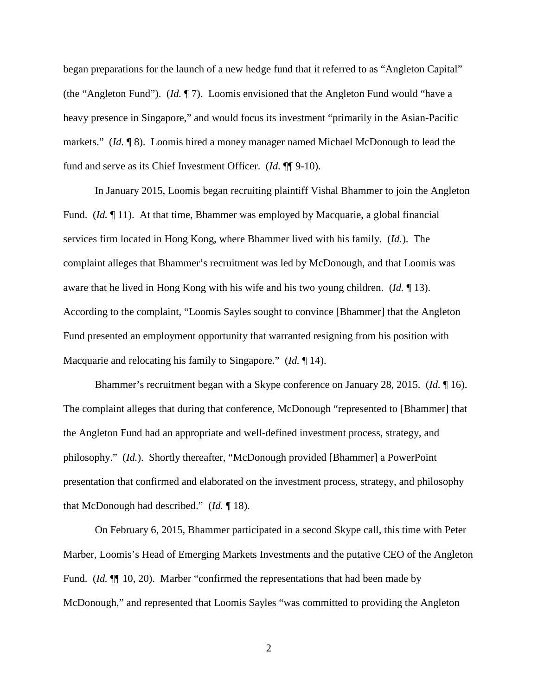began preparations for the launch of a new hedge fund that it referred to as "Angleton Capital" (the "Angleton Fund"). (*Id.* ¶ 7). Loomis envisioned that the Angleton Fund would "have a heavy presence in Singapore," and would focus its investment "primarily in the Asian-Pacific markets." (*Id.* ¶ 8). Loomis hired a money manager named Michael McDonough to lead the fund and serve as its Chief Investment Officer. (*Id.* ¶¶ 9-10).

 In January 2015, Loomis began recruiting plaintiff Vishal Bhammer to join the Angleton Fund. (*Id.* ¶ 11). At that time, Bhammer was employed by Macquarie, a global financial services firm located in Hong Kong, where Bhammer lived with his family. (*Id.*). The complaint alleges that Bhammer's recruitment was led by McDonough, and that Loomis was aware that he lived in Hong Kong with his wife and his two young children. (*Id.* ¶ 13). According to the complaint, "Loomis Sayles sought to convince [Bhammer] that the Angleton Fund presented an employment opportunity that warranted resigning from his position with Macquarie and relocating his family to Singapore." (*Id.* ¶ 14).

 Bhammer's recruitment began with a Skype conference on January 28, 2015. (*Id.* ¶ 16). The complaint alleges that during that conference, McDonough "represented to [Bhammer] that the Angleton Fund had an appropriate and well-defined investment process, strategy, and philosophy." (*Id.*). Shortly thereafter, "McDonough provided [Bhammer] a PowerPoint presentation that confirmed and elaborated on the investment process, strategy, and philosophy that McDonough had described." (*Id.* ¶ 18).

On February 6, 2015, Bhammer participated in a second Skype call, this time with Peter Marber, Loomis's Head of Emerging Markets Investments and the putative CEO of the Angleton Fund. (*Id.*  $\P$  10, 20). Marber "confirmed the representations that had been made by McDonough," and represented that Loomis Sayles "was committed to providing the Angleton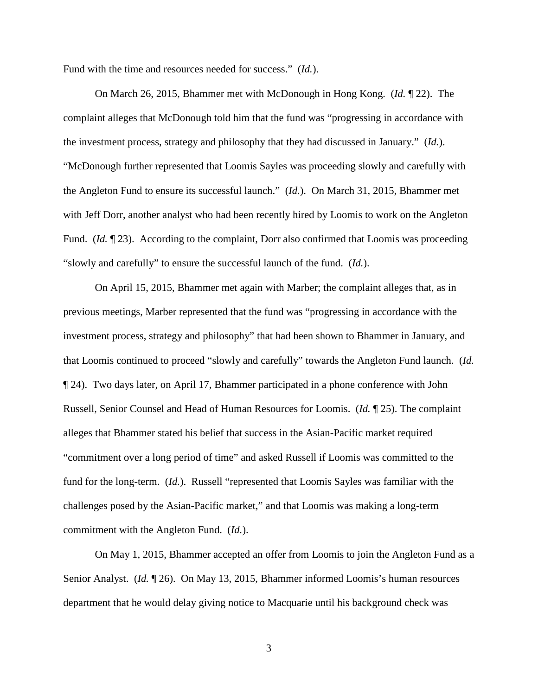Fund with the time and resources needed for success." (*Id.*).

 On March 26, 2015, Bhammer met with McDonough in Hong Kong. (*Id.* ¶ 22). The complaint alleges that McDonough told him that the fund was "progressing in accordance with the investment process, strategy and philosophy that they had discussed in January." (*Id.*). "McDonough further represented that Loomis Sayles was proceeding slowly and carefully with the Angleton Fund to ensure its successful launch." (*Id.*). On March 31, 2015, Bhammer met with Jeff Dorr, another analyst who had been recently hired by Loomis to work on the Angleton Fund. *(Id.* 123). According to the complaint, Dorr also confirmed that Loomis was proceeding "slowly and carefully" to ensure the successful launch of the fund. (*Id.*).

 On April 15, 2015, Bhammer met again with Marber; the complaint alleges that, as in previous meetings, Marber represented that the fund was "progressing in accordance with the investment process, strategy and philosophy" that had been shown to Bhammer in January, and that Loomis continued to proceed "slowly and carefully" towards the Angleton Fund launch. (*Id.*  ¶ 24). Two days later, on April 17, Bhammer participated in a phone conference with John Russell, Senior Counsel and Head of Human Resources for Loomis. (*Id.* ¶ 25). The complaint alleges that Bhammer stated his belief that success in the Asian-Pacific market required "commitment over a long period of time" and asked Russell if Loomis was committed to the fund for the long-term. (*Id.*). Russell "represented that Loomis Sayles was familiar with the challenges posed by the Asian-Pacific market," and that Loomis was making a long-term commitment with the Angleton Fund. (*Id.*).

 On May 1, 2015, Bhammer accepted an offer from Loomis to join the Angleton Fund as a Senior Analyst. (*Id.* ¶ 26). On May 13, 2015, Bhammer informed Loomis's human resources department that he would delay giving notice to Macquarie until his background check was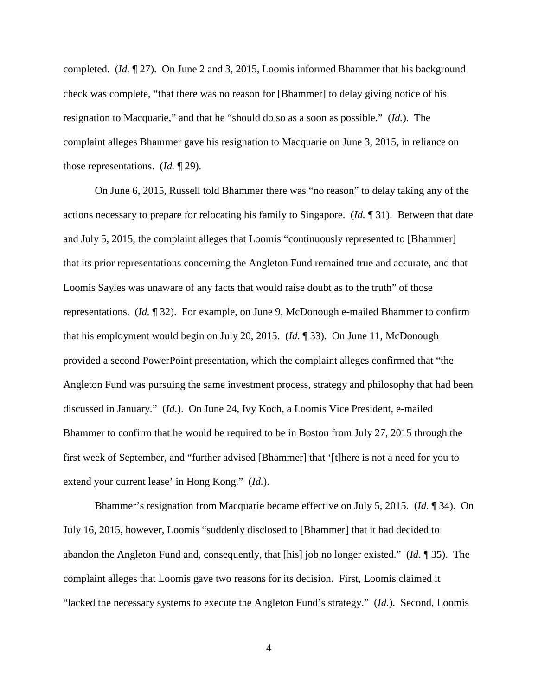completed. (*Id.* ¶ 27). On June 2 and 3, 2015, Loomis informed Bhammer that his background check was complete, "that there was no reason for [Bhammer] to delay giving notice of his resignation to Macquarie," and that he "should do so as a soon as possible." (*Id.*). The complaint alleges Bhammer gave his resignation to Macquarie on June 3, 2015, in reliance on those representations. (*Id.* ¶ 29).

 On June 6, 2015, Russell told Bhammer there was "no reason" to delay taking any of the actions necessary to prepare for relocating his family to Singapore. (*Id.* ¶ 31). Between that date and July 5, 2015, the complaint alleges that Loomis "continuously represented to [Bhammer] that its prior representations concerning the Angleton Fund remained true and accurate, and that Loomis Sayles was unaware of any facts that would raise doubt as to the truth" of those representations. (*Id.* ¶ 32). For example, on June 9, McDonough e-mailed Bhammer to confirm that his employment would begin on July 20, 2015. (*Id.* ¶ 33). On June 11, McDonough provided a second PowerPoint presentation, which the complaint alleges confirmed that "the Angleton Fund was pursuing the same investment process, strategy and philosophy that had been discussed in January." (*Id.*). On June 24, Ivy Koch, a Loomis Vice President, e-mailed Bhammer to confirm that he would be required to be in Boston from July 27, 2015 through the first week of September, and "further advised [Bhammer] that '[t]here is not a need for you to extend your current lease' in Hong Kong." (*Id.*).

 Bhammer's resignation from Macquarie became effective on July 5, 2015. (*Id.* ¶ 34). On July 16, 2015, however, Loomis "suddenly disclosed to [Bhammer] that it had decided to abandon the Angleton Fund and, consequently, that [his] job no longer existed." (*Id.* ¶ 35). The complaint alleges that Loomis gave two reasons for its decision. First, Loomis claimed it "lacked the necessary systems to execute the Angleton Fund's strategy." (*Id.*). Second, Loomis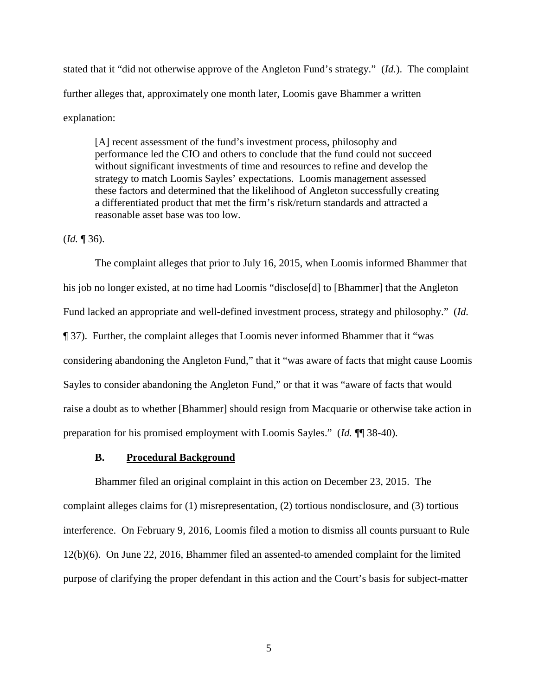stated that it "did not otherwise approve of the Angleton Fund's strategy." (*Id.*). The complaint further alleges that, approximately one month later, Loomis gave Bhammer a written explanation:

[A] recent assessment of the fund's investment process, philosophy and performance led the CIO and others to conclude that the fund could not succeed without significant investments of time and resources to refine and develop the strategy to match Loomis Sayles' expectations. Loomis management assessed these factors and determined that the likelihood of Angleton successfully creating a differentiated product that met the firm's risk/return standards and attracted a reasonable asset base was too low.

## (*Id.* ¶ 36).

The complaint alleges that prior to July 16, 2015, when Loomis informed Bhammer that his job no longer existed, at no time had Loomis "disclose[d] to [Bhammer] that the Angleton Fund lacked an appropriate and well-defined investment process, strategy and philosophy." (*Id.*  ¶ 37). Further, the complaint alleges that Loomis never informed Bhammer that it "was considering abandoning the Angleton Fund," that it "was aware of facts that might cause Loomis Sayles to consider abandoning the Angleton Fund," or that it was "aware of facts that would raise a doubt as to whether [Bhammer] should resign from Macquarie or otherwise take action in preparation for his promised employment with Loomis Sayles." (*Id.* ¶¶ 38-40).

#### **B. Procedural Background**

Bhammer filed an original complaint in this action on December 23, 2015. The complaint alleges claims for (1) misrepresentation, (2) tortious nondisclosure, and (3) tortious interference. On February 9, 2016, Loomis filed a motion to dismiss all counts pursuant to Rule 12(b)(6). On June 22, 2016, Bhammer filed an assented-to amended complaint for the limited purpose of clarifying the proper defendant in this action and the Court's basis for subject-matter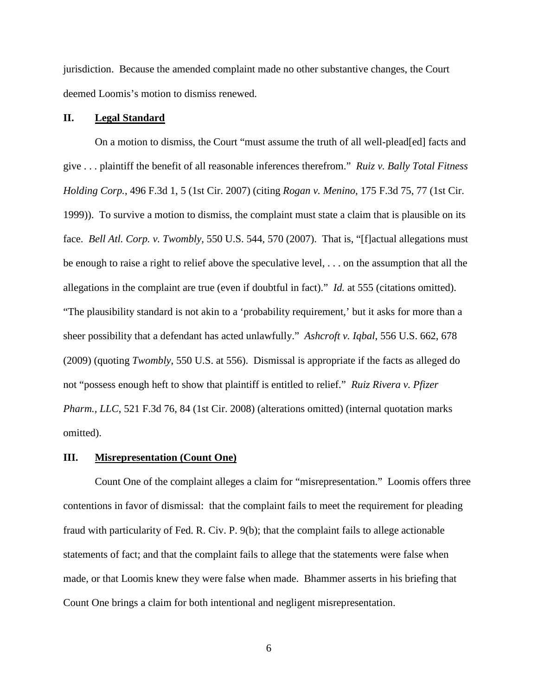jurisdiction. Because the amended complaint made no other substantive changes, the Court deemed Loomis's motion to dismiss renewed.

## **II. Legal Standard**

On a motion to dismiss, the Court "must assume the truth of all well-plead[ed] facts and give . . . plaintiff the benefit of all reasonable inferences therefrom." *Ruiz v. Bally Total Fitness Holding Corp.*, 496 F.3d 1, 5 (1st Cir. 2007) (citing *Rogan v. Menino*, 175 F.3d 75, 77 (1st Cir. 1999)). To survive a motion to dismiss, the complaint must state a claim that is plausible on its face. *Bell Atl. Corp. v. Twombly*, 550 U.S. 544, 570 (2007). That is, "[f]actual allegations must be enough to raise a right to relief above the speculative level, . . . on the assumption that all the allegations in the complaint are true (even if doubtful in fact)." *Id.* at 555 (citations omitted). "The plausibility standard is not akin to a 'probability requirement,' but it asks for more than a sheer possibility that a defendant has acted unlawfully." *Ashcroft v. Iqbal*, 556 U.S. 662, 678 (2009) (quoting *Twombly*, 550 U.S. at 556). Dismissal is appropriate if the facts as alleged do not "possess enough heft to show that plaintiff is entitled to relief." *Ruiz Rivera v. Pfizer Pharm., LLC*, 521 F.3d 76, 84 (1st Cir. 2008) (alterations omitted) (internal quotation marks omitted).

#### **III. Misrepresentation (Count One)**

 Count One of the complaint alleges a claim for "misrepresentation." Loomis offers three contentions in favor of dismissal: that the complaint fails to meet the requirement for pleading fraud with particularity of Fed. R. Civ. P. 9(b); that the complaint fails to allege actionable statements of fact; and that the complaint fails to allege that the statements were false when made, or that Loomis knew they were false when made. Bhammer asserts in his briefing that Count One brings a claim for both intentional and negligent misrepresentation.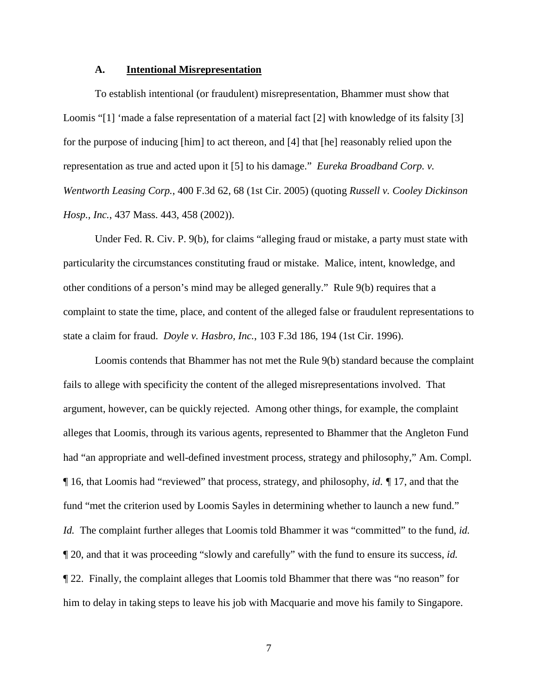#### **A. Intentional Misrepresentation**

To establish intentional (or fraudulent) misrepresentation, Bhammer must show that Loomis "[1] 'made a false representation of a material fact [2] with knowledge of its falsity [3] for the purpose of inducing [him] to act thereon, and [4] that [he] reasonably relied upon the representation as true and acted upon it [5] to his damage." *Eureka Broadband Corp. v. Wentworth Leasing Corp.*, 400 F.3d 62, 68 (1st Cir. 2005) (quoting *Russell v. Cooley Dickinson Hosp., Inc.*, 437 Mass. 443, 458 (2002)).

Under Fed. R. Civ. P. 9(b), for claims "alleging fraud or mistake, a party must state with particularity the circumstances constituting fraud or mistake. Malice, intent, knowledge, and other conditions of a person's mind may be alleged generally." Rule 9(b) requires that a complaint to state the time, place, and content of the alleged false or fraudulent representations to state a claim for fraud. *Doyle v. Hasbro, Inc.*, 103 F.3d 186, 194 (1st Cir. 1996).

Loomis contends that Bhammer has not met the Rule 9(b) standard because the complaint fails to allege with specificity the content of the alleged misrepresentations involved. That argument, however, can be quickly rejected. Among other things, for example, the complaint alleges that Loomis, through its various agents, represented to Bhammer that the Angleton Fund had "an appropriate and well-defined investment process, strategy and philosophy," Am. Compl. ¶ 16, that Loomis had "reviewed" that process, strategy, and philosophy, *id. ¶* 17, and that the fund "met the criterion used by Loomis Sayles in determining whether to launch a new fund." *Id.* The complaint further alleges that Loomis told Bhammer it was "committed" to the fund, *id.*  ¶ 20, and that it was proceeding "slowly and carefully" with the fund to ensure its success, *id.*  ¶ 22. Finally, the complaint alleges that Loomis told Bhammer that there was "no reason" for him to delay in taking steps to leave his job with Macquarie and move his family to Singapore.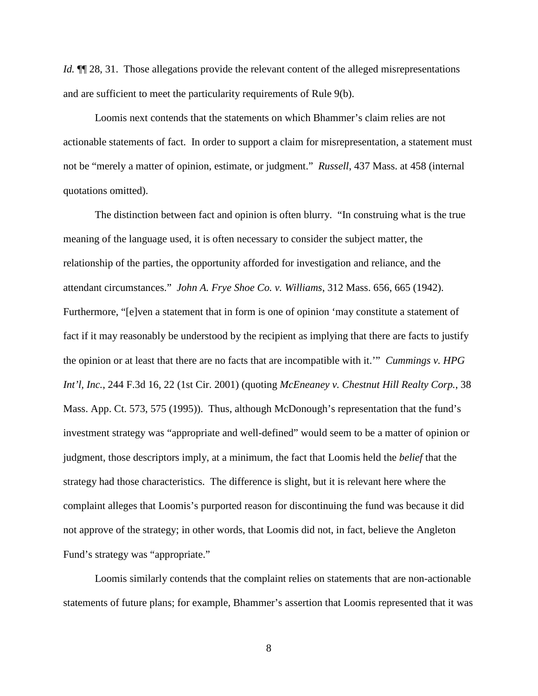*Id.*  $\P$  28, 31. Those allegations provide the relevant content of the alleged misrepresentations and are sufficient to meet the particularity requirements of Rule 9(b).

Loomis next contends that the statements on which Bhammer's claim relies are not actionable statements of fact. In order to support a claim for misrepresentation, a statement must not be "merely a matter of opinion, estimate, or judgment." *Russell*, 437 Mass. at 458 (internal quotations omitted).

The distinction between fact and opinion is often blurry. "In construing what is the true meaning of the language used, it is often necessary to consider the subject matter, the relationship of the parties, the opportunity afforded for investigation and reliance, and the attendant circumstances." *John A. Frye Shoe Co. v. Williams*, 312 Mass. 656, 665 (1942). Furthermore, "[e]ven a statement that in form is one of opinion 'may constitute a statement of fact if it may reasonably be understood by the recipient as implying that there are facts to justify the opinion or at least that there are no facts that are incompatible with it.'" *Cummings v. HPG Int'l, Inc.*, 244 F.3d 16, 22 (1st Cir. 2001) (quoting *McEneaney v. Chestnut Hill Realty Corp.*, 38 Mass. App. Ct. 573, 575 (1995)). Thus, although McDonough's representation that the fund's investment strategy was "appropriate and well-defined" would seem to be a matter of opinion or judgment, those descriptors imply, at a minimum, the fact that Loomis held the *belief* that the strategy had those characteristics. The difference is slight, but it is relevant here where the complaint alleges that Loomis's purported reason for discontinuing the fund was because it did not approve of the strategy; in other words, that Loomis did not, in fact, believe the Angleton Fund's strategy was "appropriate."

Loomis similarly contends that the complaint relies on statements that are non-actionable statements of future plans; for example, Bhammer's assertion that Loomis represented that it was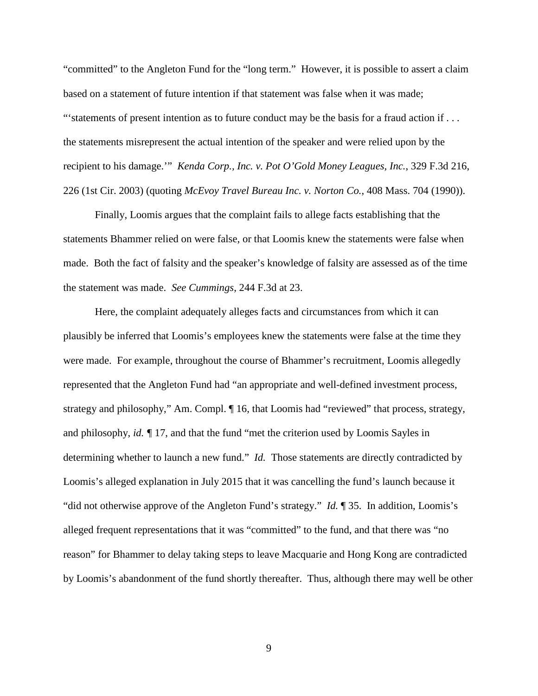"committed" to the Angleton Fund for the "long term." However, it is possible to assert a claim based on a statement of future intention if that statement was false when it was made; "'statements of present intention as to future conduct may be the basis for a fraud action if ... the statements misrepresent the actual intention of the speaker and were relied upon by the recipient to his damage.'" *Kenda Corp., Inc. v. Pot O'Gold Money Leagues, Inc.*, 329 F.3d 216, 226 (1st Cir. 2003) (quoting *McEvoy Travel Bureau Inc. v. Norton Co.*, 408 Mass. 704 (1990)).

Finally, Loomis argues that the complaint fails to allege facts establishing that the statements Bhammer relied on were false, or that Loomis knew the statements were false when made. Both the fact of falsity and the speaker's knowledge of falsity are assessed as of the time the statement was made. *See Cummings*, 244 F.3d at 23.

Here, the complaint adequately alleges facts and circumstances from which it can plausibly be inferred that Loomis's employees knew the statements were false at the time they were made. For example, throughout the course of Bhammer's recruitment, Loomis allegedly represented that the Angleton Fund had "an appropriate and well-defined investment process, strategy and philosophy," Am. Compl. ¶ 16, that Loomis had "reviewed" that process, strategy, and philosophy, *id. ¶* 17, and that the fund "met the criterion used by Loomis Sayles in determining whether to launch a new fund." *Id.* Those statements are directly contradicted by Loomis's alleged explanation in July 2015 that it was cancelling the fund's launch because it "did not otherwise approve of the Angleton Fund's strategy." *Id.* ¶ 35. In addition, Loomis's alleged frequent representations that it was "committed" to the fund, and that there was "no reason" for Bhammer to delay taking steps to leave Macquarie and Hong Kong are contradicted by Loomis's abandonment of the fund shortly thereafter. Thus, although there may well be other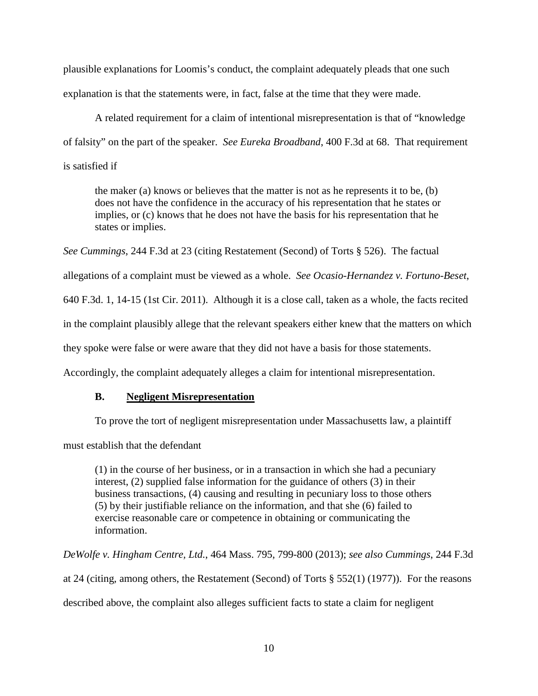plausible explanations for Loomis's conduct, the complaint adequately pleads that one such explanation is that the statements were, in fact, false at the time that they were made.

A related requirement for a claim of intentional misrepresentation is that of "knowledge of falsity" on the part of the speaker. *See Eureka Broadband*, 400 F.3d at 68. That requirement is satisfied if

the maker (a) knows or believes that the matter is not as he represents it to be, (b) does not have the confidence in the accuracy of his representation that he states or implies, or (c) knows that he does not have the basis for his representation that he states or implies.

*See Cummings*, 244 F.3d at 23 (citing Restatement (Second) of Torts § 526). The factual

allegations of a complaint must be viewed as a whole. *See Ocasio-Hernandez v. Fortuno-Beset*,

640 F.3d. 1, 14-15 (1st Cir. 2011). Although it is a close call, taken as a whole, the facts recited

in the complaint plausibly allege that the relevant speakers either knew that the matters on which

they spoke were false or were aware that they did not have a basis for those statements.

Accordingly, the complaint adequately alleges a claim for intentional misrepresentation.

## **B. Negligent Misrepresentation**

To prove the tort of negligent misrepresentation under Massachusetts law, a plaintiff

must establish that the defendant

(1) in the course of her business, or in a transaction in which she had a pecuniary interest, (2) supplied false information for the guidance of others (3) in their business transactions, (4) causing and resulting in pecuniary loss to those others (5) by their justifiable reliance on the information, and that she (6) failed to exercise reasonable care or competence in obtaining or communicating the information.

*DeWolfe v. Hingham Centre, Ltd.*, 464 Mass. 795, 799-800 (2013); *see also Cummings*, 244 F.3d

at 24 (citing, among others, the Restatement (Second) of Torts § 552(1) (1977)). For the reasons

described above, the complaint also alleges sufficient facts to state a claim for negligent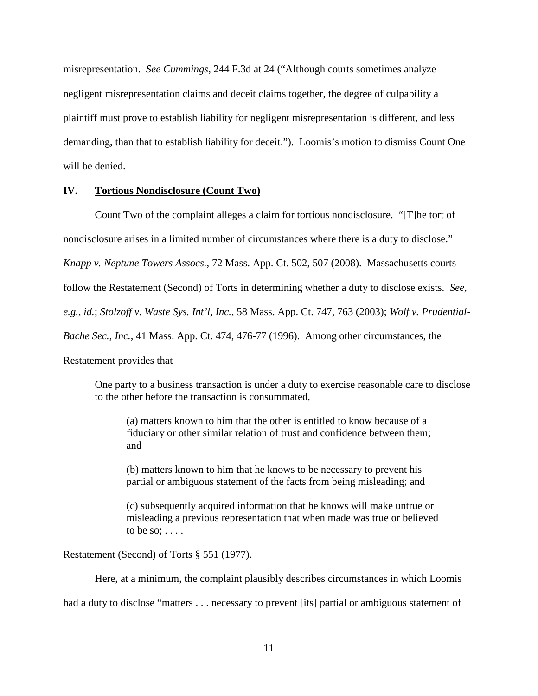misrepresentation. *See Cummings*, 244 F.3d at 24 ("Although courts sometimes analyze negligent misrepresentation claims and deceit claims together, the degree of culpability a plaintiff must prove to establish liability for negligent misrepresentation is different, and less demanding, than that to establish liability for deceit."). Loomis's motion to dismiss Count One will be denied.

### **IV. Tortious Nondisclosure (Count Two)**

 Count Two of the complaint alleges a claim for tortious nondisclosure. "[T]he tort of nondisclosure arises in a limited number of circumstances where there is a duty to disclose." *Knapp v. Neptune Towers Assocs.*, 72 Mass. App. Ct. 502, 507 (2008). Massachusetts courts follow the Restatement (Second) of Torts in determining whether a duty to disclose exists. *See, e.g.*, *id.*; *Stolzoff v. Waste Sys. Int'l, Inc.*, 58 Mass. App. Ct. 747, 763 (2003); *Wolf v. Prudential-Bache Sec., Inc.*, 41 Mass. App. Ct. 474, 476-77 (1996). Among other circumstances, the Restatement provides that

One party to a business transaction is under a duty to exercise reasonable care to disclose to the other before the transaction is consummated,

(a) matters known to him that the other is entitled to know because of a fiduciary or other similar relation of trust and confidence between them; and

(b) matters known to him that he knows to be necessary to prevent his partial or ambiguous statement of the facts from being misleading; and

(c) subsequently acquired information that he knows will make untrue or misleading a previous representation that when made was true or believed to be so;  $\dots$ .

Restatement (Second) of Torts § 551 (1977).

Here, at a minimum, the complaint plausibly describes circumstances in which Loomis

had a duty to disclose "matters . . . necessary to prevent [its] partial or ambiguous statement of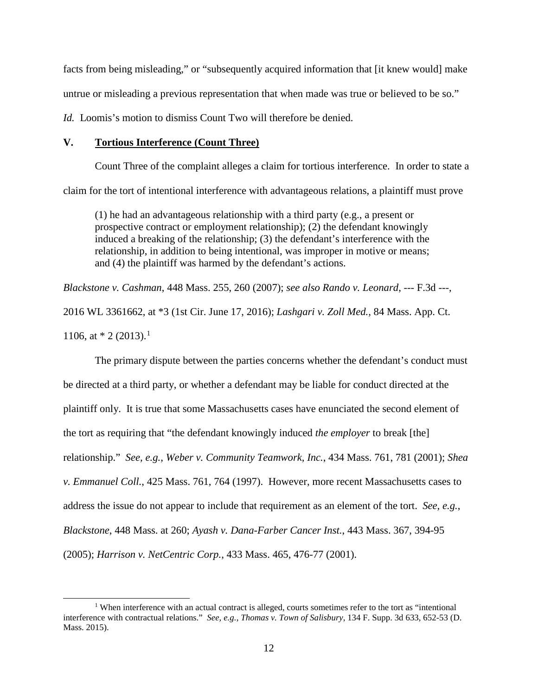facts from being misleading," or "subsequently acquired information that [it knew would] make untrue or misleading a previous representation that when made was true or believed to be so."

*Id.* Loomis's motion to dismiss Count Two will therefore be denied.

# **V. Tortious Interference (Count Three)**

 Count Three of the complaint alleges a claim for tortious interference. In order to state a claim for the tort of intentional interference with advantageous relations, a plaintiff must prove

(1) he had an advantageous relationship with a third party (e.g., a present or prospective contract or employment relationship); (2) the defendant knowingly induced a breaking of the relationship; (3) the defendant's interference with the relationship, in addition to being intentional, was improper in motive or means; and (4) the plaintiff was harmed by the defendant's actions.

*Blackstone v. Cashman*, 448 Mass. 255, 260 (2007); *see also Rando v. Leonard*, --- F.3d ---, 2016 WL 3361662, at \*3 (1st Cir. June 17, 2016); *Lashgari v. Zoll Med.*, 84 Mass. App. Ct. [1](#page-11-0)106, at  $*$  2 (2013).<sup>1</sup>

The primary dispute between the parties concerns whether the defendant's conduct must be directed at a third party, or whether a defendant may be liable for conduct directed at the plaintiff only. It is true that some Massachusetts cases have enunciated the second element of the tort as requiring that "the defendant knowingly induced *the employer* to break [the] relationship." *See, e.g.*, *Weber v. Community Teamwork, Inc.*, 434 Mass. 761, 781 (2001); *Shea v. Emmanuel Coll.*, 425 Mass. 761, 764 (1997). However, more recent Massachusetts cases to address the issue do not appear to include that requirement as an element of the tort. *See, e.g.*, *Blackstone*, 448 Mass. at 260; *Ayash v. Dana-Farber Cancer Inst.*, 443 Mass. 367, 394-95 (2005); *Harrison v. NetCentric Corp.*, 433 Mass. 465, 476-77 (2001).

<span id="page-11-0"></span><sup>-</sup><sup>1</sup> When interference with an actual contract is alleged, courts sometimes refer to the tort as "intentional" interference with contractual relations." *See, e.g.*, *Thomas v. Town of Salisbury*, 134 F. Supp. 3d 633, 652-53 (D. Mass. 2015).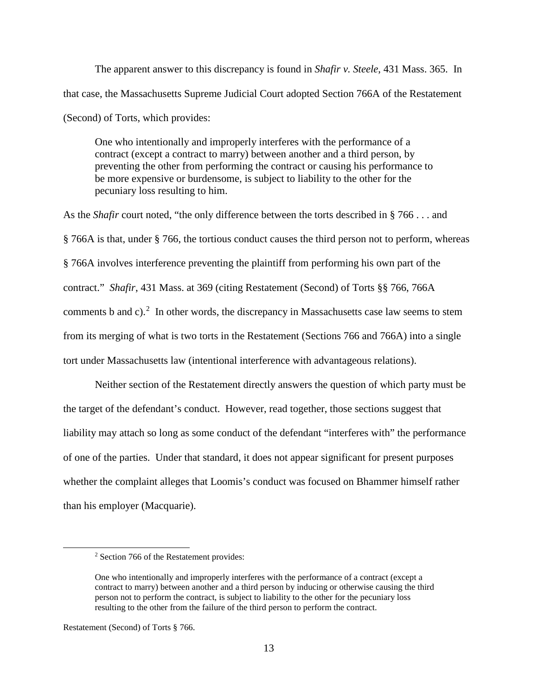The apparent answer to this discrepancy is found in *Shafir v. Steele*, 431 Mass. 365. In that case, the Massachusetts Supreme Judicial Court adopted Section 766A of the Restatement (Second) of Torts, which provides:

One who intentionally and improperly interferes with the performance of a contract (except a contract to marry) between another and a third person, by preventing the other from performing the contract or causing his performance to be more expensive or burdensome, is subject to liability to the other for the pecuniary loss resulting to him.

As the *Shafir* court noted, "the only difference between the torts described in § 766 . . . and § 766A is that, under § 766, the tortious conduct causes the third person not to perform, whereas § 766A involves interference preventing the plaintiff from performing his own part of the contract." *Shafir*, 431 Mass. at 369 (citing Restatement (Second) of Torts §§ 766, 766A comments b and c).<sup>[2](#page-12-0)</sup> In other words, the discrepancy in Massachusetts case law seems to stem from its merging of what is two torts in the Restatement (Sections 766 and 766A) into a single tort under Massachusetts law (intentional interference with advantageous relations).

 Neither section of the Restatement directly answers the question of which party must be the target of the defendant's conduct. However, read together, those sections suggest that liability may attach so long as some conduct of the defendant "interferes with" the performance of one of the parties. Under that standard, it does not appear significant for present purposes whether the complaint alleges that Loomis's conduct was focused on Bhammer himself rather than his employer (Macquarie).

<span id="page-12-0"></span> $\overline{a}$ 

<sup>2</sup> Section 766 of the Restatement provides:

One who intentionally and improperly interferes with the performance of a contract (except a contract to marry) between another and a third person by inducing or otherwise causing the third person not to perform the contract, is subject to liability to the other for the pecuniary loss resulting to the other from the failure of the third person to perform the contract.

Restatement (Second) of Torts § 766.